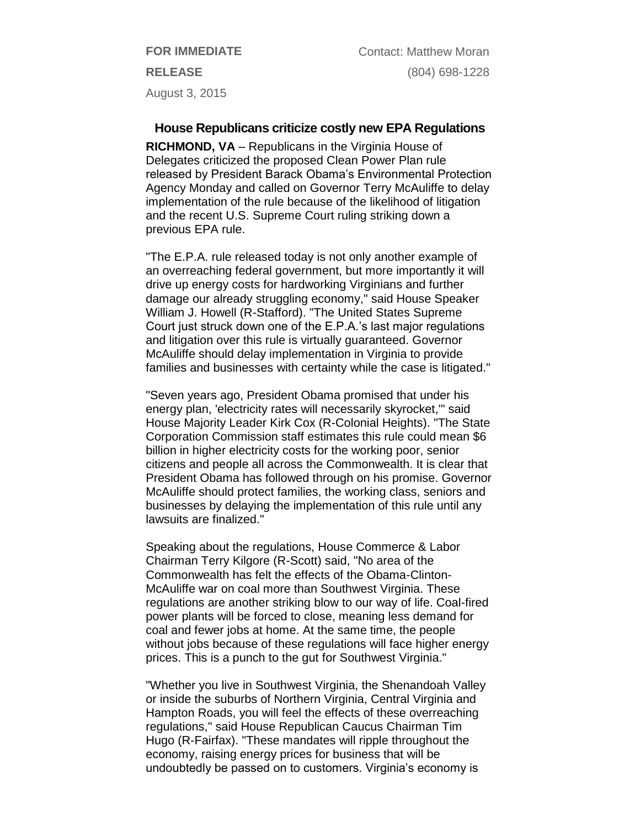**FOR IMMEDIATE RELEASE** August 3, 2015

**House Republicans criticize costly new EPA Regulations**

**RICHMOND, VA** – Republicans in the Virginia House of Delegates criticized the proposed Clean Power Plan rule released by President Barack Obama's Environmental Protection Agency Monday and called on Governor Terry McAuliffe to delay implementation of the rule because of the likelihood of litigation and the recent U.S. Supreme Court ruling striking down a previous EPA rule.

"The E.P.A. rule released today is not only another example of an overreaching federal government, but more importantly it will drive up energy costs for hardworking Virginians and further damage our already struggling economy," said House Speaker William J. Howell (R-Stafford). "The United States Supreme Court just struck down one of the E.P.A.'s last major regulations and litigation over this rule is virtually guaranteed. Governor McAuliffe should delay implementation in Virginia to provide families and businesses with certainty while the case is litigated."

"Seven years ago, President Obama promised that under his energy plan, 'electricity rates will necessarily skyrocket,'" said House Majority Leader Kirk Cox (R-Colonial Heights). "The State Corporation Commission staff estimates this rule could mean \$6 billion in higher electricity costs for the working poor, senior citizens and people all across the Commonwealth. It is clear that President Obama has followed through on his promise. Governor McAuliffe should protect families, the working class, seniors and businesses by delaying the implementation of this rule until any lawsuits are finalized."

Speaking about the regulations, House Commerce & Labor Chairman Terry Kilgore (R-Scott) said, "No area of the Commonwealth has felt the effects of the Obama-Clinton-McAuliffe war on coal more than Southwest Virginia. These regulations are another striking blow to our way of life. Coal-fired power plants will be forced to close, meaning less demand for coal and fewer jobs at home. At the same time, the people without jobs because of these regulations will face higher energy prices. This is a punch to the gut for Southwest Virginia."

"Whether you live in Southwest Virginia, the Shenandoah Valley or inside the suburbs of Northern Virginia, Central Virginia and Hampton Roads, you will feel the effects of these overreaching regulations," said House Republican Caucus Chairman Tim Hugo (R-Fairfax). "These mandates will ripple throughout the economy, raising energy prices for business that will be undoubtedly be passed on to customers. Virginia's economy is